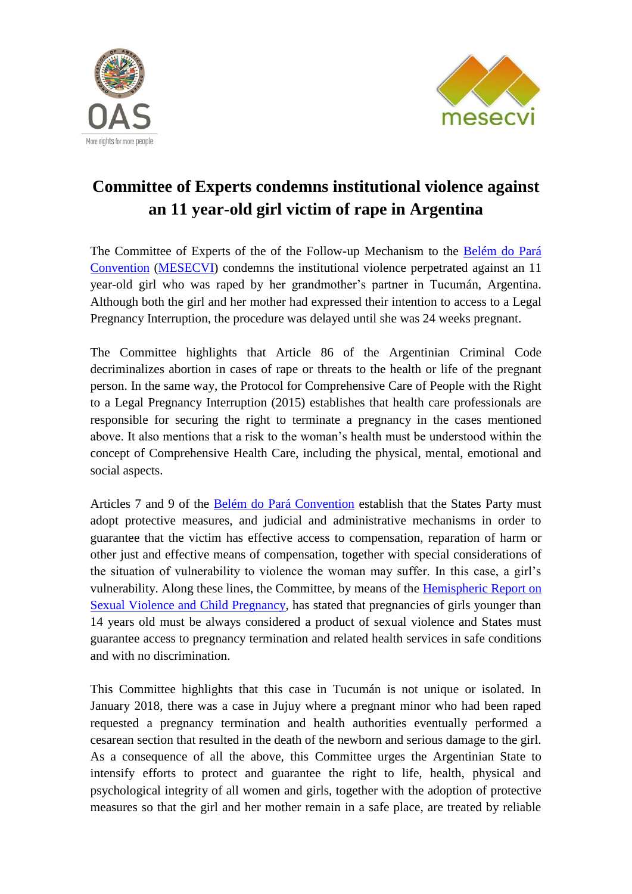



## **Committee of Experts condemns institutional violence against an 11 year-old girl victim of rape in Argentina**

The Committee of Experts of the of the Follow-up Mechanism to the [Belém do Pará](http://www.oas.org/es/mesecvi/docs/BelemDoPara-ENGLISH.pdf)  [Convention](http://www.oas.org/es/mesecvi/docs/BelemDoPara-ENGLISH.pdf) [\(MESECVI\)](http://www.oas.org/en/mesecvi/about.asp) condemns the institutional violence perpetrated against an 11 year-old girl who was raped by her grandmother's partner in Tucumán, Argentina. Although both the girl and her mother had expressed their intention to access to a Legal Pregnancy Interruption, the procedure was delayed until she was 24 weeks pregnant.

The Committee highlights that Article 86 of the Argentinian Criminal Code decriminalizes abortion in cases of rape or threats to the health or life of the pregnant person. In the same way, the Protocol for Comprehensive Care of People with the Right to a Legal Pregnancy Interruption (2015) establishes that health care professionals are responsible for securing the right to terminate a pregnancy in the cases mentioned above. It also mentions that a risk to the woman's health must be understood within the concept of Comprehensive Health Care, including the physical, mental, emotional and social aspects.

Articles 7 and 9 of the **Belém do Pará Convention** establish that the States Party must adopt protective measures, and judicial and administrative mechanisms in order to guarantee that the victim has effective access to compensation, reparation of harm or other just and effective means of compensation, together with special considerations of the situation of vulnerability to violence the woman may suffer. In this case, a girl's vulnerability. Along these lines, the Committee, by means of the [Hemispheric Report on](http://www.oas.org/en/mesecvi/docs/MESECVI-EmbarazoInfantil-EN.pdf)  [Sexual Violence and Child Pregnancy,](http://www.oas.org/en/mesecvi/docs/MESECVI-EmbarazoInfantil-EN.pdf) has stated that pregnancies of girls younger than 14 years old must be always considered a product of sexual violence and States must guarantee access to pregnancy termination and related health services in safe conditions and with no discrimination.

This Committee highlights that this case in Tucumán is not unique or isolated. In January 2018, there was a case in Jujuy where a pregnant minor who had been raped requested a pregnancy termination and health authorities eventually performed a cesarean section that resulted in the death of the newborn and serious damage to the girl. As a consequence of all the above, this Committee urges the Argentinian State to intensify efforts to protect and guarantee the right to life, health, physical and psychological integrity of all women and girls, together with the adoption of protective measures so that the girl and her mother remain in a safe place, are treated by reliable